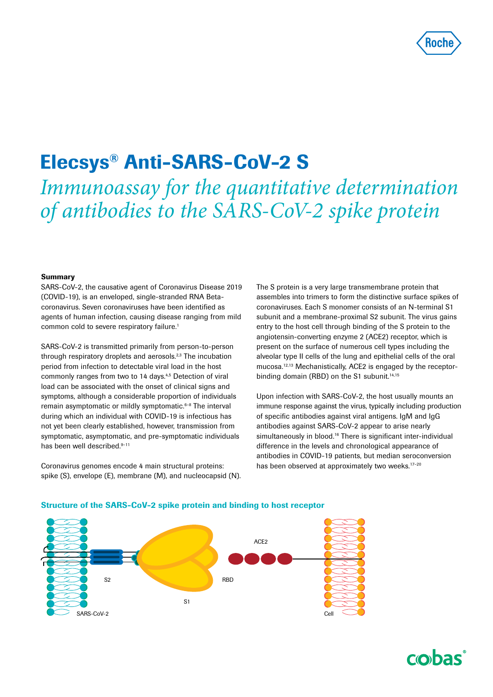

# Elecsys® Anti-SARS-CoV-2 S

*Immunoassay for the quantitative determination of antibodies to the SARS-CoV-2 spike protein*

#### Summary

SARS-CoV-2, the causative agent of Coronavirus Disease 2019 (COVID-19), is an enveloped, single-stranded RNA Betacoronavirus. Seven coronaviruses have been identified as agents of human infection, causing disease ranging from mild common cold to severe respiratory failure.<sup>1</sup>

SARS-CoV-2 is transmitted primarily from person-to-person through respiratory droplets and aerosols.<sup>2,3</sup> The incubation period from infection to detectable viral load in the host commonly ranges from two to 14 days.4,5 Detection of viral load can be associated with the onset of clinical signs and symptoms, although a considerable proportion of individuals remain asymptomatic or mildly symptomatic.6–8 The interval during which an individual with COVID-19 is infectious has not yet been clearly established, however, transmission from symptomatic, asymptomatic, and pre-symptomatic individuals has been well described.<sup>9-11</sup>

Coronavirus genomes encode 4 main structural proteins: spike (S), envelope (E), membrane (M), and nucleocapsid (N). The S protein is a very large transmembrane protein that assembles into trimers to form the distinctive surface spikes of coronaviruses. Each S monomer consists of an N-terminal S1 subunit and a membrane-proximal S2 subunit. The virus gains entry to the host cell through binding of the S protein to the angiotensin-converting enzyme 2 (ACE2) receptor, which is present on the surface of numerous cell types including the alveolar type II cells of the lung and epithelial cells of the oral mucosa.12,13 Mechanistically, ACE2 is engaged by the receptorbinding domain (RBD) on the S1 subunit.<sup>14,15</sup>

Upon infection with SARS-CoV-2, the host usually mounts an immune response against the virus, typically including production of specific antibodies against viral antigens. IgM and IgG antibodies against SARS-CoV-2 appear to arise nearly simultaneously in blood.<sup>16</sup> There is significant inter-individual difference in the levels and chronological appearance of antibodies in COVID-19 patients, but median seroconversion has been observed at approximately two weeks.<sup>17-20</sup>



#### Structure of the SARS-CoV-2 spike protein and binding to host receptor

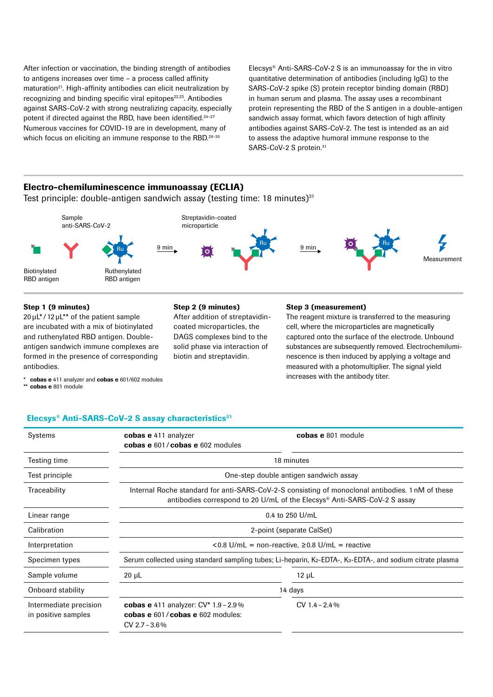After infection or vaccination, the binding strength of antibodies to antigens increases over time – a process called affinity maturation<sup>21</sup>. High-affinity antibodies can elicit neutralization by recognizing and binding specific viral epitopes<sup>22,23</sup>. Antibodies against SARS-CoV-2 with strong neutralizing capacity, especially potent if directed against the RBD, have been identified.<sup>24-27</sup> Numerous vaccines for COVID-19 are in development, many of which focus on eliciting an immune response to the RBD.<sup>28-30</sup>

Elecsys® Anti-SARS-CoV-2 S is an immunoassay for the in vitro quantitative determination of antibodies (including IgG) to the SARS-CoV-2 spike (S) protein receptor binding domain (RBD) in human serum and plasma. The assay uses a recombinant protein representing the RBD of the S antigen in a double-antigen sandwich assay format, which favors detection of high affinity antibodies against SARS-CoV-2. The test is intended as an aid to assess the adaptive humoral immune response to the SARS-CoV-2 S protein.<sup>31</sup>

## Electro-chemiluminescence immunoassay (ECLIA)

Test principle: double-antigen sandwich assay (testing time: 18 minutes) $31$ 



#### Step 1 (9 minutes)

20 μL\*/ 12 μL\*\* of the patient sample are incubated with a mix of biotinylated and ruthenylated RBD antigen. Doubleantigen sandwich immune complexes are formed in the presence of corresponding antibodies.

\* cobas e 411 analyzer and cobas e 601/602 modules

\*\* cobas e 801 module

#### Step 2 (9 minutes)

After addition of streptavidincoated microparticles, the DAGS complexes bind to the solid phase via interaction of biotin and streptavidin.

#### Step 3 (measurement)

The reagent mixture is transferred to the measuring cell, where the microparticles are magnetically captured onto the surface of the electrode. Unbound substances are subsequently removed. Electrochemiluminescence is then induced by applying a voltage and measured with a photomultiplier. The signal yield increases with the antibody titer.

#### Elecsys® Anti-SARS-CoV-2 S assay characteristics<sup>31</sup>

| Systems                                       | cobas e 411 analyzer<br>cobas e 601/cobas e 602 modules                                                                                                                      | cobas e 801 module |  |
|-----------------------------------------------|------------------------------------------------------------------------------------------------------------------------------------------------------------------------------|--------------------|--|
| Testing time                                  | 18 minutes                                                                                                                                                                   |                    |  |
| Test principle                                | One-step double antigen sandwich assay                                                                                                                                       |                    |  |
| Traceability                                  | Internal Roche standard for anti-SARS-CoV-2-S consisting of monoclonal antibodies. 1 nM of these<br>antibodies correspond to 20 U/mL of the Elecsys® Anti-SARS-CoV-2 S assay |                    |  |
| Linear range                                  | $0.4$ to 250 U/mL                                                                                                                                                            |                    |  |
| Calibration                                   | 2-point (separate CalSet)                                                                                                                                                    |                    |  |
| Interpretation                                | $< 0.8$ U/mL = non-reactive, $\geq 0.8$ U/mL = reactive                                                                                                                      |                    |  |
| Specimen types                                | Serum collected using standard sampling tubes; Li-heparin, K <sub>2</sub> -EDTA-, K <sub>3</sub> -EDTA-, and sodium citrate plasma                                           |                    |  |
| Sample volume                                 | $20 \mu L$                                                                                                                                                                   | $12 \mu L$         |  |
| Onboard stability                             | 14 days                                                                                                                                                                      |                    |  |
| Intermediate precision<br>in positive samples | <b>cobas e</b> 411 analyzer: $CV^*$ 1.9 – 2.9%<br>cobas e 601/cobas e 602 modules:<br>$CV$ 2.7 – 3.6%                                                                        | $CV 1.4 - 2.4\%$   |  |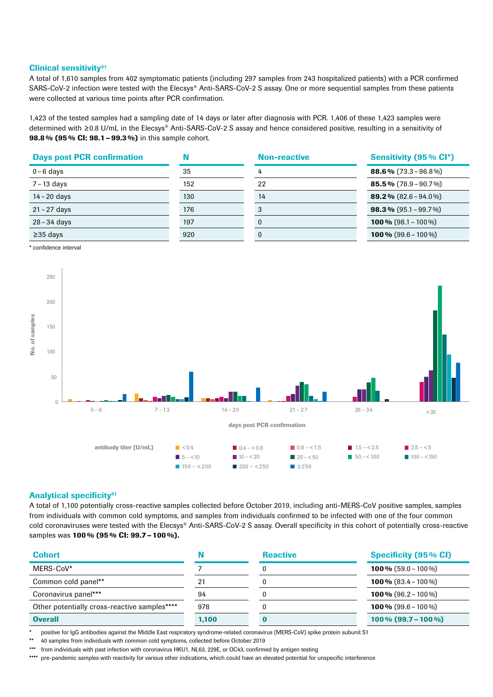#### Clinical sensitivity<sup>31</sup>

A total of 1,610 samples from 402 symptomatic patients (including 297 samples from 243 hospitalized patients) with a PCR confirmed SARS-CoV-2 infection were tested with the Elecsys® Anti-SARS-CoV-2 S assay. One or more sequential samples from these patients were collected at various time points after PCR confirmation.

1,423 of the tested samples had a sampling date of 14 days or later after diagnosis with PCR. 1,406 of these 1,423 samples were determined with ≥0.8 U/mL in the Elecsys® Anti-SARS-CoV-2 S assay and hence considered positive, resulting in a sensitivity of 98.8% (95% CI: 98.1 – 99.3%) in this sample cohort.

| <b>Days post PCR confirmation</b> |     | <b>Non-reactive</b> | Sensitivity (95% CI*)           |
|-----------------------------------|-----|---------------------|---------------------------------|
| $0 - 6$ days                      | 35  |                     | <b>88.6%</b> $(73.3 - 96.8\%)$  |
| 7 - 13 days                       | 152 | 22                  | <b>85.5%</b> $(78.9 - 90.7%)$   |
| $14 - 20$ days                    | 130 | 14                  | <b>89.2</b> % $(82.6 - 94.0\%)$ |
| $21 - 27$ days                    | 176 | 3                   | <b>98.3</b> % $(95.1 - 99.7%)$  |
| 28-34 days                        | 197 |                     | <b>100 %</b> $(98.1 - 100\%)$   |
| $\geq$ 35 days                    | 920 | 0                   | <b>100 %</b> $(99.6 - 100\%)$   |

\* confidence interval



### Analytical specificity<sup>31</sup>

A total of 1,100 potentially cross-reactive samples collected before October 2019, including anti-MERS-CoV positive samples, samples from individuals with common cold symptoms, and samples from individuals confirmed to be infected with one of the four common cold coronaviruses were tested with the Elecsys® Anti-SARS-CoV-2 S assay. Overall specificity in this cohort of potentially cross-reactive samples was 100% (95% CI: 99.7 - 100%).

| <b>Cohort</b>                                |       | <b>Reactive</b> | <b>Specificity (95% CI)</b>    |
|----------------------------------------------|-------|-----------------|--------------------------------|
| MERS-CoV*                                    |       |                 | <b>100 %</b> $(59.0 - 100 \%)$ |
| Common cold panel**                          | 21    |                 | <b>100 %</b> $(83.4 - 100\%)$  |
| Coronavirus panel***                         | 94    |                 | <b>100 %</b> $(96.2 - 100\%)$  |
| Other potentially cross-reactive samples**** | 978   |                 | <b>100 %</b> $(99.6 - 100\%)$  |
| <b>Overall</b>                               | 1,100 |                 | $100\%$ (99.7 – 100 %)         |

\* positive for IgG antibodies against the Middle East respiratory syndrome-related coronavirus (MERS-CoV) spike protein subunit S1

\*\* 40 samples from individuals with common cold symptoms, collected before October 2019

\*\*\*\* pre-pandemic samples with reactivity for various other indications, which could have an elevated potential for unspecific interference

from individuals with past infection with coronavirus HKU1, NL63, 229E, or OC43, confirmed by antigen testing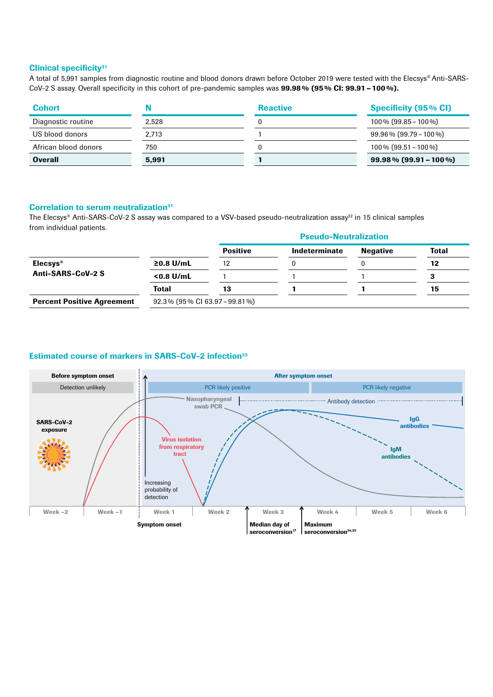## Clinical specificity<sup>31</sup>

A total of 5,991 samples from diagnostic routine and blood donors drawn before October 2019 were tested with the Elecsys® Anti-SARS-CoV-2 S assay. Overall specificity in this cohort of pre-pandemic samples was 99.98% (95% CI: 99.91 – 100%).

| <b>Cohort</b>        |       | <b>Reactive</b> | <b>Specificity (95% CI)</b> |
|----------------------|-------|-----------------|-----------------------------|
| Diagnostic routine   | 2.528 |                 | $100\%$ (99.85 – 100 %)     |
| US blood donors      | 2.713 |                 | $99.96\%$ (99.79 – 100 %)   |
| African blood donors | 750   |                 | $100\%$ (99.51 – 100 %)     |
| <b>Overall</b>       | 5.991 |                 | $99.98\%$ (99.91 – 100 %)   |

#### Correlation to serum neutralization<sup>31</sup>

The Elecsys® Anti-SARS-CoV-2 S assay was compared to a VSV-based pseudo-neutralization assay<sup>32</sup> in 15 clinical samples from individual patients.

|                                   |                                  | <b>Pseudo-Neutralization</b> |               |                 |              |
|-----------------------------------|----------------------------------|------------------------------|---------------|-----------------|--------------|
|                                   |                                  | <b>Positive</b>              | Indeterminate | <b>Negative</b> | <b>Total</b> |
| Elecsys <sup>®</sup>              | $≥0.8$ U/mL                      | 12                           |               |                 | 12           |
| Anti-SARS-CoV-2 S                 | $< 0.8$ U/mL                     |                              |               |                 |              |
|                                   | <b>Total</b>                     | 13                           |               |                 | 15           |
| <b>Percent Positive Agreement</b> | $92.3\%$ (95% CI 63.97 – 99.81%) |                              |               |                 |              |

# Estimated course of markers in SARS-CoV-2 infection<sup>33</sup>

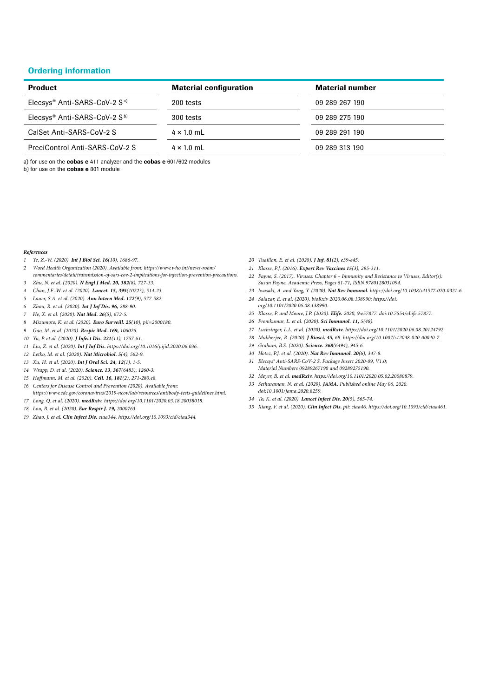### Ordering information

| <b>Product</b>                                       | <b>Material configuration</b> | <b>Material number</b> |
|------------------------------------------------------|-------------------------------|------------------------|
| Elecsys <sup>®</sup> Anti-SARS-CoV-2 S <sup>a)</sup> | 200 tests                     | 09 289 267 190         |
| Elecsys <sup>®</sup> Anti-SARS-CoV-2 S <sup>b)</sup> | 300 tests                     | 09 289 275 190         |
| CalSet Anti-SARS-CoV-2 S                             | $4 \times 1.0$ mL             | 09 289 291 190         |
| PreciControl Anti-SARS-CoV-2 S                       | $4 \times 1.0$ mL             | 09 289 313 190         |

a) for use on the cobas e 411 analyzer and the cobas e 601/602 modules b) for use on the cobas e 801 module

#### *References*

- *Ye, Z.-W. (2020). Int J Biol Sci. 16(10), 1686-97.*
- *Word Health Organization (2020). Available from: https://www.who.int/news-room/*
- *commentaries/detail/transmission-of-sars-cov-2-implications-for-infection-prevention-precautions. Zhu, N. et al. (2020). N Engl J Med. 20, 382(8), 727-33.*
- *Chan, J.F.-W. et al. (2020). Lancet. 15, 395(10223), 514-23.*
- *Lauer, S.A. et al. (2020). Ann Intern Med. 172(9), 577-582.*
- *Zhou, R. et al. (2020). Int J Inf Dis. 96, 288-90.*
- *He, X. et al. (2020). Nat Med. 26(5), 672-5.*
- *Mizumoto, K. et al. (2020). Euro Surveill. 25(10), pii=2000180.*
- *Gao, M. et al. (2020). Respir Med. 169, 106026.*
- *Yu, P. et al. (2020). J Infect Dis. 221(11), 1757-61.*
- *Liu, Z. et al. (2020). Int J Inf Dis. https://doi.org/10.1016/j.ijid.2020.06.036.*
- *Letko, M. et al. (2020). Nat Microbiol. 5(4), 562-9.*
- *Xu, H. et al. (2020). Int J Oral Sci. 24, 12(1), 1-5.*
- *Wrapp, D. et al. (2020). Science. 13, 367(6483), 1260-3.*
- *15 Hoffmann, M. et al. (2020). Cell. 16, 181(2), 271-280.e8.*
- *Centers for Disease Control and Prevention (2020). Available from:*
- *https://www.cdc.gov/coronavirus/2019-ncov/lab/resources/antibody-tests-guidelines.html. Long, Q. et al. (2020). medRxiv. https://doi.org/10.1101/2020.03.18.20038018.*
- *Lou, B. et al. (2020). Eur Respir J. 19, 2000763.*
- *Zhao, J. et al. Clin Infect Dis. ciaa344. https://doi.org/10.1093/cid/ciaa344.*
- *Tuaillon, E. et al. (2020). J Inf. 81(2), e39-e45.*
- *Klasse, P.J. (2016). Expert Rev Vaccines 15(3), 295-311.*
- *Payne, S. (2017). Viruses: Chapter 6 Immunity and Resistance to Viruses, Editor(s): Susan Payne, Academic Press, Pages 61-71, ISBN 9780128031094.*
- *Iwasaki, A. and Yang, Y. (2020). Nat Rev Immunol. https://doi.org/10.1038/s41577-020-0321-6. Salazar, E. et al. (2020). bioRxiv 2020.06.08.138990; https://doi.*
- *org/10.1101/2020.06.08.138990.*
- *Klasse, P. and Moore, J.P. (2020). Elife. 2020, 9:e57877. doi:10.7554/eLife.57877.*
- *Premkumar, L. et al. (2020). Sci Immunol. 11, 5(48).*
- *Luchsinger, L.L. et al. (2020). medRxiv. https://doi.org/10.1101/2020.06.08.20124792*
- *Mukherjee, R. (2020). J Biosci. 45, 68. https://doi.org/10.1007/s12038-020-00040-7.*
- *Graham, B.S. (2020). Science. 368(6494), 945-6.*
- *Hotez, P.J. et al. (2020). Nat Rev Immunol. 20(6), 347-8.*
- *Elecsys® Anti-SARS-CoV-2 S. Package Insert 2020-09, V1.0; Material Numbers 09289267190 and 09289275190.*
- *Meyer, B. et al. medRxiv. https://doi.org/10.1101/2020.05.02.20080879.*
- *Sethuraman, N. et al. (2020). JAMA. Published online May 06, 2020. doi:10.1001/jama.2020.8259.*
- *To, K. et al. (2020). Lancet Infect Dis. 20(5), 565-74.*
- *Xiang, F. et al. (2020). Clin Infect Dis. pii: ciaa46. https://doi.org/10.1093/cid/ciaa461.*